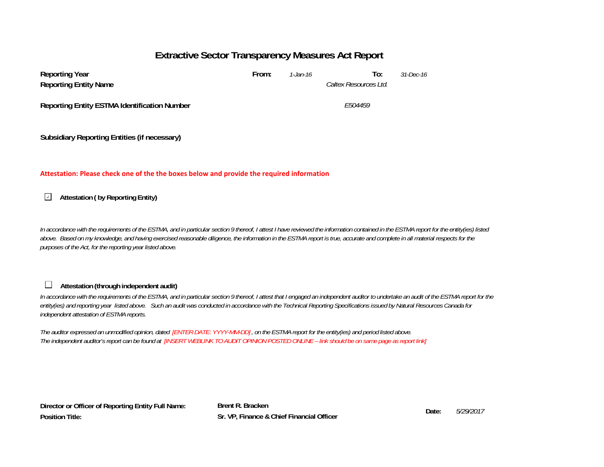## **Extractive Sector Transparency Measures Act Report**

| Reporting Year<br><b>Reporting Entity Name</b>      | From: | $1 - Jan - 16$ | To:<br>Caltex Resources Ltd. | 31-Dec-16 |
|-----------------------------------------------------|-------|----------------|------------------------------|-----------|
| <b>Reporting Entity ESTMA Identification Number</b> |       |                | E504459                      |           |
| Subsidiary Reporting Entities (if necessary)        |       |                |                              |           |

### **Attestation: Please check one of the the boxes below and provide the required information**

**Attestation ( by Reporting Entity)**  $\mathcal{A}$ 

*In accordance with the requirements of the ESTMA, and in particular section 9 thereof, I attest I have reviewed the information contained in the ESTMA report for the entity(ies) listed*  above. Based on my knowledge, and having exercised reasonable diligence, the information in the ESTMA report is true, accurate and complete in all material respects for the *purposes of the Act, for the reporting year listed above.* 

#### $\Box$ **Attestation (throu gh independent audit)**

In accordance with the requirements of the ESTMA, and in particular section 9 thereof, I attest that I engaged an independent auditor to undertake an audit of the ESTMA report for the *entity(ies) and reporting year listed above. Such an audit was conducted in accordance with the Technical Reporting Specifications issued by Natural Resources Canada for independent attestation of ESTMA reports.* 

*The auditor expressed an unmodified opinion, dated [ENTER DATE: YYYY-MM-DD] , on the ESTMA report for the entity(ies) and period listed above. The independent auditor's report can be found at [INSERT WEBLINK TO AUDIT OPINION POSTED ONLINE – link should be on same page as report link]*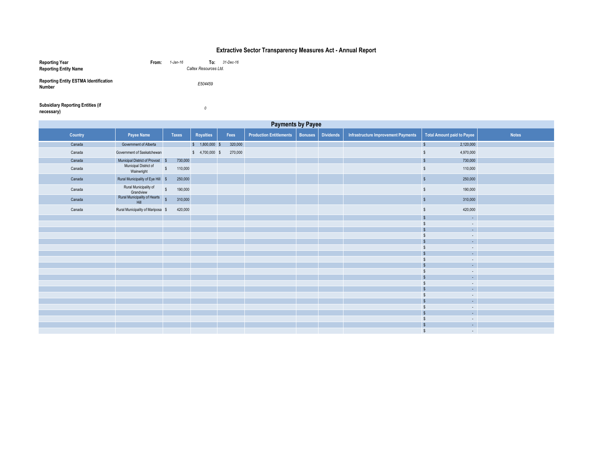| <b>Reporting Year</b><br><b>Reporting Entity Name</b>         | 31-Dec-16<br>1-Jan-16<br>From:<br>To:<br>Caltex Resources Ltd. |  |
|---------------------------------------------------------------|----------------------------------------------------------------|--|
| <b>Reporting Entity ESTMA Identification</b><br><b>Number</b> | E504459                                                        |  |
| <b>Subsidiary Reporting Entities (if</b><br>necessary)        | $\theta$                                                       |  |

| <b>Payments by Payee</b> |                                             |                                    |                  |         |                                |                |                  |                                            |                                                |              |
|--------------------------|---------------------------------------------|------------------------------------|------------------|---------|--------------------------------|----------------|------------------|--------------------------------------------|------------------------------------------------|--------------|
| <b>Country</b>           | <b>Payee Name</b>                           | <b>Taxes</b>                       | <b>Royalties</b> | Fees    | <b>Production Entitlements</b> | <b>Bonuses</b> | <b>Dividends</b> | <b>Infrastructure Improvement Payments</b> | <b>Total Amount paid to Payee</b>              | <b>Notes</b> |
| Canada                   | Government of Alberta                       |                                    | \$ 1,800,000 \$  | 320,000 |                                |                |                  |                                            | 2,120,000<br>$\sqrt[6]{\frac{1}{2}}$           |              |
| Canada                   | Government of Saskatchewan                  |                                    | $$4,700,000$ \$  | 270,000 |                                |                |                  |                                            | 4,970,000<br>$\frac{1}{2}$                     |              |
| Canada                   | Municipal District of Provost \$            | 730,000                            |                  |         |                                |                |                  |                                            | $\mathbb S$<br>730,000                         |              |
| Canada                   | Municipal District of<br>Wainwright         | $\sqrt[6]{\frac{1}{2}}$<br>110,000 |                  |         |                                |                |                  |                                            | 110,000<br>$\sqrt[6]{\frac{1}{2}}$             |              |
| Canada                   | Rural Municipality of Eye Hill \$           | 250,000                            |                  |         |                                |                |                  |                                            | 250,000<br>$\sqrt[6]{\frac{1}{2}}$             |              |
| Canada                   | Rural Municipality of<br>Grandview          | $\sqrt[6]{\frac{1}{2}}$<br>190,000 |                  |         |                                |                |                  |                                            | 190,000<br>$\frac{1}{2}$                       |              |
| Canada                   | <b>Rural Municipality of Hearts</b><br>Hill | 310,000<br>$\sqrt[6]{\frac{1}{2}}$ |                  |         |                                |                |                  |                                            | 310,000<br>$\sqrt[6]{\frac{1}{2}}$             |              |
| Canada                   | Rural Municipality of Mariposa \$           | 420,000                            |                  |         |                                |                |                  |                                            | 420,000<br>$\frac{1}{2}$                       |              |
|                          |                                             |                                    |                  |         |                                |                |                  |                                            | $\,$<br>$\omega_{\rm c}$                       |              |
|                          |                                             |                                    |                  |         |                                |                |                  |                                            | $\mathbb{S}$<br>$\sim$                         |              |
|                          |                                             |                                    |                  |         |                                |                |                  |                                            | $\omega_{\rm{eff}}$<br>$\mathbb{S}$            |              |
|                          |                                             |                                    |                  |         |                                |                |                  |                                            | $\sim$                                         |              |
|                          |                                             |                                    |                  |         |                                |                |                  |                                            | $\mathcal{L}^{\mathcal{A}}$                    |              |
|                          |                                             |                                    |                  |         |                                |                |                  |                                            | $\sim$<br>$\mathbb{S}$                         |              |
|                          |                                             |                                    |                  |         |                                |                |                  |                                            | $\Delta \sim$<br>\$                            |              |
|                          |                                             |                                    |                  |         |                                |                |                  |                                            | $\sim$<br>$\mathbb{S}$<br>$\Delta \sim$        |              |
|                          |                                             |                                    |                  |         |                                |                |                  |                                            | $\sim$                                         |              |
|                          |                                             |                                    |                  |         |                                |                |                  |                                            | $\mathcal{L}^{\mathcal{L}}$<br>\$              |              |
|                          |                                             |                                    |                  |         |                                |                |                  |                                            | $\sim$                                         |              |
|                          |                                             |                                    |                  |         |                                |                |                  |                                            | $\omega_{\rm{eff}}$<br>$\mathbb{S}$            |              |
|                          |                                             |                                    |                  |         |                                |                |                  |                                            | $\mathbb{S}$<br>$\sim$                         |              |
|                          |                                             |                                    |                  |         |                                |                |                  |                                            | $\sqrt{2}$<br>\$                               |              |
|                          |                                             |                                    |                  |         |                                |                |                  |                                            | $\mathbb{S}$<br>$\sim$                         |              |
|                          |                                             |                                    |                  |         |                                |                |                  |                                            | $\sqrt[6]{\frac{1}{2}}$<br>$\omega_{\rm c}$    |              |
|                          |                                             |                                    |                  |         |                                |                |                  |                                            | $\sim$                                         |              |
|                          |                                             |                                    |                  |         |                                |                |                  |                                            | $\sqrt[6]{\frac{1}{2}}$<br>$\omega_{\rm{eff}}$ |              |
|                          |                                             |                                    |                  |         |                                |                |                  |                                            | $\sqrt[6]{\frac{1}{2}}$<br>$\sim$ $-$          |              |

# **Extractive Sector Transparency Measures Act - Annual Report**